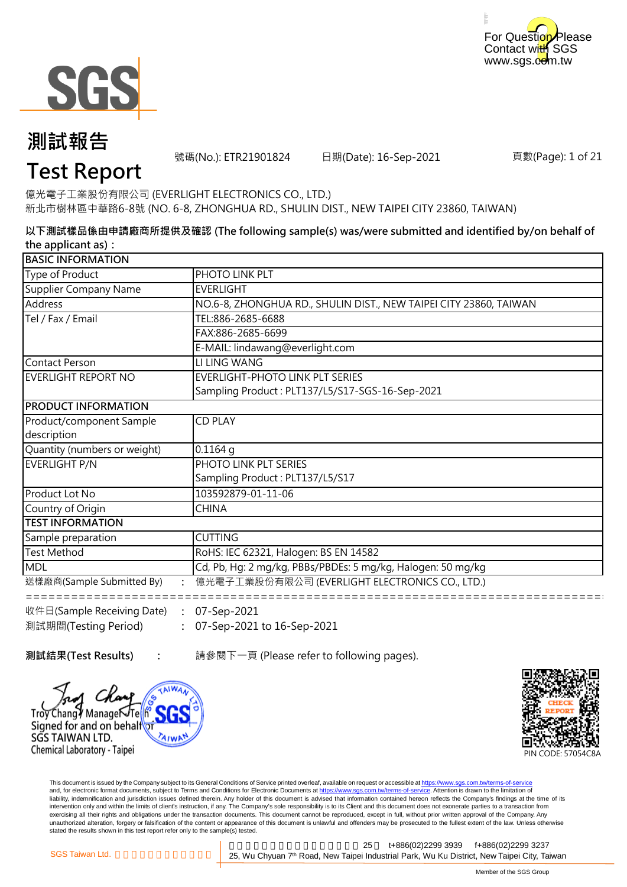



號碼(No.): ETR21901824 日期(Date): 16-Sep-2021

頁數(Page): 1 of 21

### **Test Report**

億光電子工業股份有限公司 (EVERLIGHT ELECTRONICS CO., LTD.) 新北市樹林區中華路6-8號 (NO. 6-8, ZHONGHUA RD., SHULIN DIST., NEW TAIPEI CITY 23860, TAIWAN)

**以下測試樣品係由申請廠商所提供及確認 (The following sample(s) was/were submitted and identified by/on behalf of the applicant as):**

| <b>BASIC INFORMATION</b>                                                |                                                                   |  |
|-------------------------------------------------------------------------|-------------------------------------------------------------------|--|
| Type of Product                                                         | PHOTO LINK PLT                                                    |  |
| Supplier Company Name                                                   | <b>EVERLIGHT</b>                                                  |  |
| Address                                                                 | NO.6-8, ZHONGHUA RD., SHULIN DIST., NEW TAIPEI CITY 23860, TAIWAN |  |
| Tel / Fax / Email                                                       | TEL:886-2685-6688                                                 |  |
|                                                                         | FAX:886-2685-6699                                                 |  |
|                                                                         | E-MAIL: lindawang@everlight.com                                   |  |
| Contact Person                                                          | LI LING WANG                                                      |  |
| EVERLIGHT REPORT NO                                                     | <b>EVERLIGHT-PHOTO LINK PLT SERIES</b>                            |  |
|                                                                         | Sampling Product: PLT137/L5/S17-SGS-16-Sep-2021                   |  |
| <b>PRODUCT INFORMATION</b>                                              |                                                                   |  |
| Product/component Sample                                                | <b>CD PLAY</b>                                                    |  |
| description                                                             |                                                                   |  |
| Quantity (numbers or weight)                                            | $0.1164$ q                                                        |  |
| EVERLIGHT P/N                                                           | PHOTO LINK PLT SERIES                                             |  |
|                                                                         | Sampling Product: PLT137/L5/S17                                   |  |
| Product Lot No                                                          | 103592879-01-11-06                                                |  |
| Country of Origin                                                       | <b>CHINA</b>                                                      |  |
| <b>TEST INFORMATION</b>                                                 |                                                                   |  |
| Sample preparation                                                      | <b>CUTTING</b>                                                    |  |
| <b>Test Method</b>                                                      | RoHS: IEC 62321, Halogen: BS EN 14582                             |  |
| <b>MDL</b>                                                              | Cd, Pb, Hg: 2 mg/kg, PBBs/PBDEs: 5 mg/kg, Halogen: 50 mg/kg       |  |
| 送樣廠商(Sample Submitted By)                                               | 億光電子工業股份有限公司 (EVERLIGHT ELECTRONICS CO., LTD.)                    |  |
| $\mathbb{R}^4$ $\mathbb{R}$ (Sample Receiving Date) $\cdot$ 07-Sen-2021 |                                                                   |  |

**: :** 07-Sep-2021 to 16-Sep-2021 日(Sample Receiving Date) 測試期間(Testing Period) 07-Sep-2021

**測試結果(Test Results) :** 請參閱下一頁 (Please refer to following pages).





This document is issued by the Company subject to its General Conditions of Service printed overleaf, available on request or accessible at https://www.sgs.com.tw/terms-of-service and, for electronic format documents, subject to Terms and Conditions for Electronic Documents at https://www.sgs.com.tw/terms-of-service. Attention is drawn to the limitation of liability, indemnification and jurisdiction issues defined therein. Any holder of this document is advised that information contained hereon reflects the Company's findings at the time of its intervention only and within the limits of client's instruction, if any. The Company's sole responsibility is to its Client and this document does not exonerate parties to a transaction from exercising all their rights and obligations under the transaction documents. This document cannot be reproduced, except in full, without prior written approval of the Company. Any<br>unauthorized alteration, forgery or falsif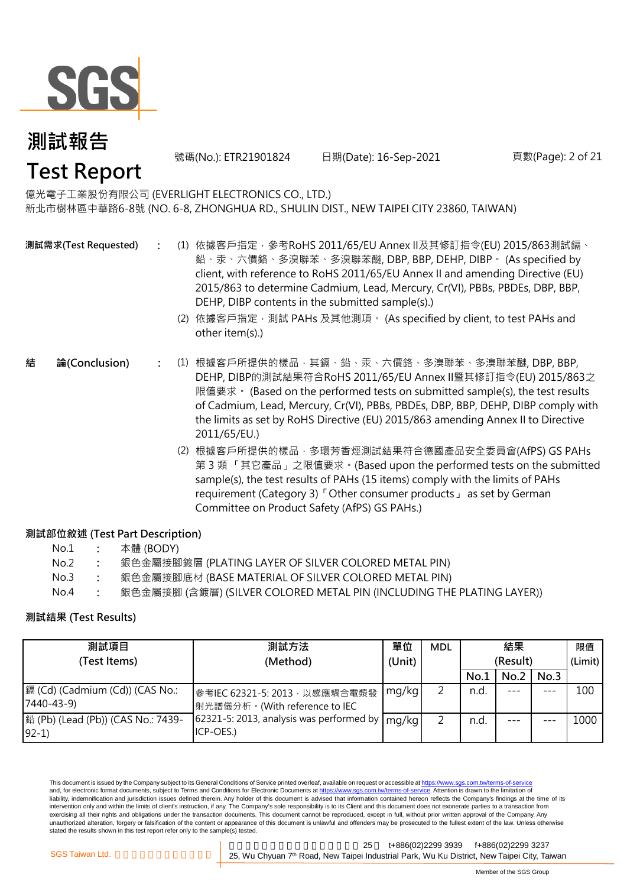

號碼(No.): ETR21901824 日期(Date): 16-Sep-2021 頁數(Page): 2 of 21

億光電子工業股份有限公司 (EVERLIGHT ELECTRONICS CO., LTD.) 新北市樹林區中華路6-8號 (NO. 6-8, ZHONGHUA RD., SHULIN DIST., NEW TAIPEI CITY 23860, TAIWAN)

**測試需求(Test Requested)**

- **:** (1) 依據客戶指定,參考RoHS 2011/65/EU Annex II及其修訂指令(EU) 2015/863測試鎘、 鉛、汞、六價鉻、多溴聯苯、多溴聯苯醚, DBP, BBP, DEHP, DIBP。 (As specified by client, with reference to RoHS 2011/65/EU Annex II and amending Directive (EU) 2015/863 to determine Cadmium, Lead, Mercury, Cr(VI), PBBs, PBDEs, DBP, BBP, DEHP, DIBP contents in the submitted sample(s).)
	- (2) 依據客戶指定,測試 PAHs 及其他測項。 (As specified by client, to test PAHs and other item(s).)
- **:** (1) 根據客戶所提供的樣品,其鎘、鉛、汞、六價鉻、多溴聯苯、多溴聯苯醚, DBP, BBP, **結 論(Conclusion)** DEHP, DIBP的測試結果符合RoHS 2011/65/EU Annex II暨其修訂指令(EU) 2015/863之 限值要求。 (Based on the performed tests on submitted sample(s), the test results of Cadmium, Lead, Mercury, Cr(VI), PBBs, PBDEs, DBP, BBP, DEHP, DIBP comply with the limits as set by RoHS Directive (EU) 2015/863 amending Annex II to Directive 2011/65/EU.)
	- (2) 根據客戶所提供的樣品,多環芳香烴測試結果符合德國產品安全委員會(AfPS) GS PAHs 第 3 類 「其它產品」之限值要求。(Based upon the performed tests on the submitted sample(s), the test results of PAHs (15 items) comply with the limits of PAHs requirement (Category 3)「Other consumer products」 as set by German Committee on Product Safety (AfPS) GS PAHs.)

#### **測試部位敘述 (Test Part Description)**

| No.1 |  |  | 本體 (BODY) |
|------|--|--|-----------|
|------|--|--|-----------|

- No.2 **:** 銀色金屬接腳鍍層 (PLATING LAYER OF SILVER COLORED METAL PIN)
- No.3 **:** 銀色金屬接腳底材 (BASE MATERIAL OF SILVER COLORED METAL PIN)
- No.4 **:** 銀色金屬接腳 (含鍍層) (SILVER COLORED METAL PIN (INCLUDING THE PLATING LAYER))

#### **測試結果 (Test Results)**

| 測試項目                                           | 測試方法                                                            | 單位     | <b>MDL</b> | 結果       |      |         | 限值      |
|------------------------------------------------|-----------------------------------------------------------------|--------|------------|----------|------|---------|---------|
| (Test Items)                                   | (Method)                                                        | (Unit) |            | (Result) |      |         | (Limit) |
|                                                |                                                                 |        |            | No.1     | No.2 | No.3    |         |
| [編 (Cd) (Cadmium (Cd)) (CAS No.:<br>7440-43-9) | 參考IEC 62321-5: 2013, 以感應耦合電漿發<br> 射光譜儀分析。(With reference to IEC | mg/kg  | ∍          | n.d.     |      | $- - -$ | 100     |
| 鉛 (Pb) (Lead (Pb)) (CAS No.: 7439-<br>$92-1)$  | 62321-5: 2013, analysis was performed by<br>ICP-OES.)           | mg/kg  | っ          | n.d.     |      |         | 1000    |

This document is issued by the Company subject to its General Conditions of Service printed overleaf, available on request or accessible at https://www.sgs.com.tw/terms-of-service and, for electronic format documents, subject to Terms and Conditions for Electronic Documents at https://www.sgs.com.tw/terms-of-service. Attention is drawn to the limitation of liability, indemnification and jurisdiction issues defined therein. Any holder of this document is advised that information contained hereon reflects the Company's findings at the time of its intervention only and within the limits of client's instruction, if any. The Company's sole responsibility is to its Client and this document does not exonerate parties to a transaction from exercising all their rights and obligations under the transaction documents. This document cannot be reproduced, except in full, without prior written approval of the Company. Any unauthorized alteration, forgery or falsification of the content or appearance of this document is unlawful and offenders may be prosecuted to the fullest extent of the law. Unless otherwise stated the results shown in this test report refer only to the sample(s) tested.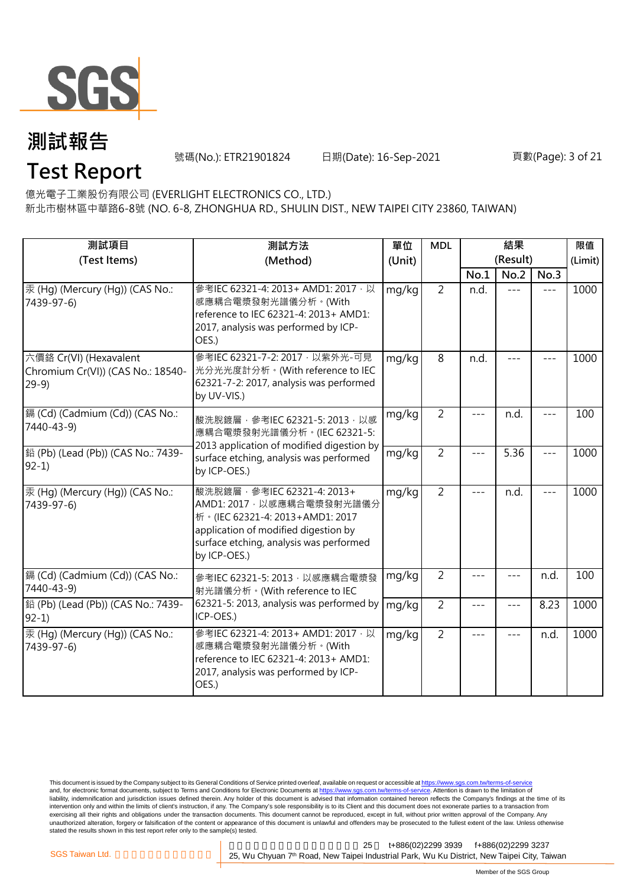

號碼(No.): ETR21901824 日期(Date): 16-Sep-2021 頁數(Page): 3 of 21

**Test Report**

億光電子工業股份有限公司 (EVERLIGHT ELECTRONICS CO., LTD.)

新北市樹林區中華路6-8號 (NO. 6-8, ZHONGHUA RD., SHULIN DIST., NEW TAIPEI CITY 23860, TAIWAN)

| 測試項目<br>(Test Items)                                                  | 測試方法<br>(Method)                                                                                                                                                                                  | 單位<br>(Unit) | <b>MDL</b>     |       | 結果<br>(Result) |         | 限值<br>(Limit) |
|-----------------------------------------------------------------------|---------------------------------------------------------------------------------------------------------------------------------------------------------------------------------------------------|--------------|----------------|-------|----------------|---------|---------------|
|                                                                       |                                                                                                                                                                                                   |              |                | No.1  | No.2           | No.3    |               |
| 汞 (Hg) (Mercury (Hg)) (CAS No.:<br>7439-97-6)                         | 參考IEC 62321-4: 2013+ AMD1: 2017 · 以<br>感應耦合電漿發射光譜儀分析。(With<br>reference to IEC 62321-4: 2013+ AMD1:<br>2017, analysis was performed by ICP-<br>OES.)                                              | mg/kg        | $\overline{2}$ | n.d.  | $- - -$        | $---$   | 1000          |
| 六價鉻 Cr(VI) (Hexavalent<br>Chromium Cr(VI)) (CAS No.: 18540-<br>$29-9$ | 參考IEC 62321-7-2: 2017 · 以紫外光-可見<br>光分光光度計分析。(With reference to IEC<br>62321-7-2: 2017, analysis was performed<br>by UV-VIS.)                                                                      | mg/kg        | $\overline{8}$ | n.d.  |                |         | 1000          |
| [鎘 (Cd) (Cadmium (Cd)) (CAS No.:<br>7440-43-9)                        | 酸洗脫鍍層, 參考IEC 62321-5: 2013, 以感<br>應耦合電漿發射光譜儀分析。(IEC 62321-5:                                                                                                                                      | mg/kg        | $\overline{2}$ | $---$ | n.d.           | $---$   | 100           |
| 鉛 (Pb) (Lead (Pb)) (CAS No.: 7439-<br>$92-1)$                         | 2013 application of modified digestion by<br>surface etching, analysis was performed<br>by ICP-OES.)                                                                                              | mg/kg        | $\overline{2}$ | $---$ | 5.36           | $---$   | 1000          |
| 汞 (Hg) (Mercury (Hg)) (CAS No.:<br>7439-97-6)                         | 酸洗脫鍍層, 參考IEC 62321-4: 2013+<br>AMD1: 2017 · 以感應耦合電漿發射光譜儀分<br>析 · (IEC 62321-4: 2013+AMD1: 2017<br>application of modified digestion by<br>surface etching, analysis was performed<br>by ICP-OES.) | mg/kg        | $\overline{2}$ | $---$ | n.d.           | $- - -$ | 1000          |
| 鎘 (Cd) (Cadmium (Cd)) (CAS No.:<br>7440-43-9)                         | 參考IEC 62321-5: 2013, 以感應耦合電漿發<br>射光譜儀分析。(With reference to IEC                                                                                                                                    | mg/kg        | $\overline{2}$ | ---   | ---            | n.d.    | 100           |
| 鉛 (Pb) (Lead (Pb)) (CAS No.: 7439-<br>$92-1$                          | 62321-5: 2013, analysis was performed by<br>ICP-OES.)                                                                                                                                             | mg/kg        | $\overline{2}$ | ---   | $- - -$        | 8.23    | 1000          |
| 汞 (Hq) (Mercury (Hq)) (CAS No.:<br>7439-97-6)                         | 參考IEC 62321-4: 2013+ AMD1: 2017, 以<br>感應耦合電漿發射光譜儀分析。(With<br>reference to IEC 62321-4: 2013+ AMD1:<br>2017, analysis was performed by ICP-<br>OES.)                                               | mg/kg        | $\overline{2}$ | $---$ | $- - -$        | n.d.    | 1000          |

This document is issued by the Company subject to its General Conditions of Service printed overleaf, available on request or accessible at <u>https://www.sgs.com.tw/terms-of-service</u><br>and, for electronic format documents, su liability, indemnification and jurisdiction issues defined therein. Any holder of this document is advised that information contained hereon reflects the Company's findings at the time of its intervention only and within the limits of client's instruction, if any. The Company's sole responsibility is to its Client and this document does not exonerate parties to a transaction from exercising all their rights and obligations under the transaction documents. This document cannot be reproduced, except in full, without prior written approval of the Company. Any<br>unauthorized alteration, forgery or falsif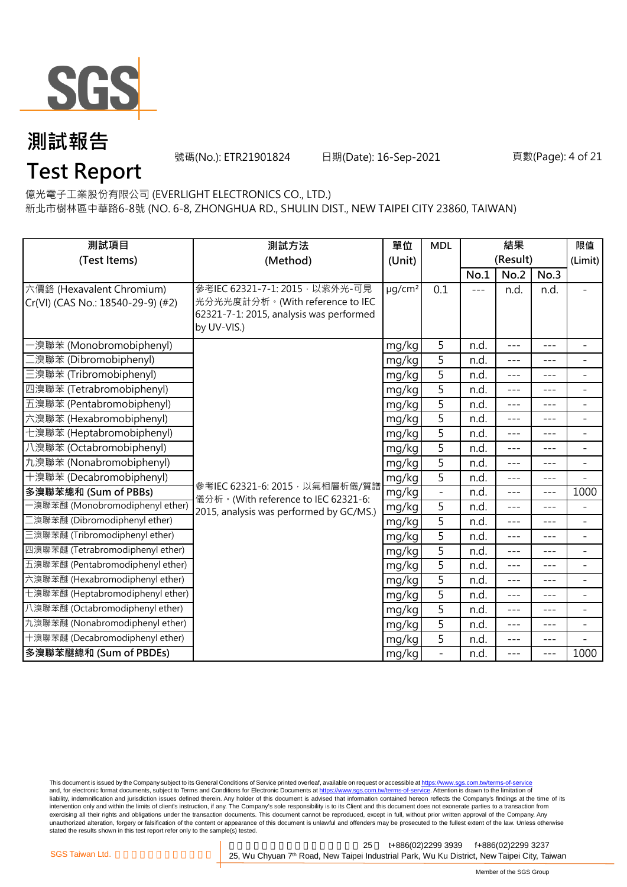

號碼(No.): ETR21901824 日期(Date): 16-Sep-2021 頁數(Page): 4 of 21

### **Test Report**

億光電子工業股份有限公司 (EVERLIGHT ELECTRONICS CO., LTD.)

新北市樹林區中華路6-8號 (NO. 6-8, ZHONGHUA RD., SHULIN DIST., NEW TAIPEI CITY 23860, TAIWAN)

| 測試項目<br>測試方法                                                   |                                                                                                                              | 單位                      | <b>MDL</b>                   | 結果      |          |         | 限值                           |
|----------------------------------------------------------------|------------------------------------------------------------------------------------------------------------------------------|-------------------------|------------------------------|---------|----------|---------|------------------------------|
| (Test Items)                                                   | (Method)<br>(Unit)                                                                                                           |                         |                              |         | (Result) |         | (Limit)                      |
|                                                                |                                                                                                                              |                         |                              | No.1    | No.2     | No.3    |                              |
| 六價鉻 (Hexavalent Chromium)<br>Cr(VI) (CAS No.: 18540-29-9) (#2) | 參考IEC 62321-7-1: 2015 · 以紫外光-可見<br>光分光光度計分析。(With reference to IEC<br>62321-7-1: 2015, analysis was performed<br>by UV-VIS.) | $\mu$ g/cm <sup>2</sup> | 0.1                          | $- - -$ | n.d.     | n.d.    |                              |
| ·溴聯苯 (Monobromobiphenyl)                                       |                                                                                                                              | mg/kg                   | 5                            | n.d.    | $---$    | $---$   | $\overline{\phantom{a}}$     |
| [溴聯苯 (Dibromobiphenyl)                                         |                                                                                                                              | mg/kg                   | 5                            | n.d.    | ---      | ---     | $\overline{a}$               |
| 三溴聯苯 (Tribromobiphenyl)                                        |                                                                                                                              | mg/kg                   | 5                            | n.d.    | $- - -$  | $---$   | ÷.                           |
| 四溴聯苯 (Tetrabromobiphenyl)                                      |                                                                                                                              | mg/kg                   | 5                            | n.d.    | $---$    | $---$   | $\overline{\phantom{0}}$     |
| 五溴聯苯 (Pentabromobiphenyl)                                      |                                                                                                                              | mg/kg                   | 5                            | n.d.    | ---      |         | $\overline{\phantom{0}}$     |
| 六溴聯苯 (Hexabromobiphenyl)                                       |                                                                                                                              | mg/kg                   | 5                            | n.d.    | $---$    | ---     | $\qquad \qquad \blacksquare$ |
| 七溴聯苯 (Heptabromobiphenyl)                                      |                                                                                                                              | mg/kg                   | 5                            | n.d.    | $---$    | ---     | $\overline{\phantom{0}}$     |
| 八溴聯苯 (Octabromobiphenyl)                                       |                                                                                                                              | mg/kg                   | 5                            | n.d.    | $---$    | $- - -$ | $\overline{\phantom{a}}$     |
| 九溴聯苯 (Nonabromobiphenyl)                                       |                                                                                                                              | mg/kg                   | 5                            | n.d.    | ---      | $- - -$ | $\overline{a}$               |
| 十溴聯苯 (Decabromobiphenyl)                                       | 參考IEC 62321-6: 2015, 以氣相層析儀/質譜                                                                                               | mg/kg                   | 5                            | n.d.    | $---$    | $---$   | $\overline{\phantom{0}}$     |
| 多溴聯苯總和 (Sum of PBBs)                                           | 儀分析。(With reference to IEC 62321-6:                                                                                          | mg/kg                   | $\qquad \qquad \blacksquare$ | n.d.    | $---$    | $---$   | 1000                         |
| -溴聯苯醚 (Monobromodiphenyl ether)                                | 2015, analysis was performed by GC/MS.)                                                                                      | mg/kg                   | $\overline{5}$               | n.d.    | $- - -$  | ---     | $\overline{\phantom{0}}$     |
| 二溴聯苯醚 (Dibromodiphenyl ether)                                  |                                                                                                                              | mg/kg                   | 5                            | n.d.    | $---$    | $- - -$ | ÷.                           |
| 三溴聯苯醚 (Tribromodiphenyl ether)                                 |                                                                                                                              | mg/kg                   | 5                            | n.d.    | $- - -$  | $---$   | $\overline{a}$               |
| 四溴聯苯醚 (Tetrabromodiphenyl ether)                               |                                                                                                                              | mg/kg                   | 5                            | n.d.    | $---$    | $---$   | $\bar{ }$                    |
| 五溴聯苯醚 (Pentabromodiphenyl ether)                               |                                                                                                                              | mg/kg                   | 5                            | n.d.    | $---$    | ---     | $\overline{\phantom{a}}$     |
| 六溴聯苯醚 (Hexabromodiphenyl ether)                                |                                                                                                                              | mg/kg                   | 5                            | n.d.    | $- - -$  | $- - -$ | $\overline{\phantom{0}}$     |
| 七溴聯苯醚 (Heptabromodiphenyl ether)                               |                                                                                                                              | mg/kg                   | 5                            | n.d.    | $---$    | $---$   | $\overline{\phantom{0}}$     |
| 八溴聯苯醚 (Octabromodiphenyl ether)                                |                                                                                                                              | mg/kg                   | 5                            | n.d.    | $- - -$  | $---$   | $\overline{a}$               |
| 九溴聯苯醚 (Nonabromodiphenyl ether)                                |                                                                                                                              | mg/kg                   | 5                            | n.d.    | $---$    | $---$   | $\overline{\phantom{0}}$     |
| 十溴聯苯醚 (Decabromodiphenyl ether)                                |                                                                                                                              | mg/kg                   | 5                            | n.d.    | ---      | ---     |                              |
| 多溴聯苯醚總和 (Sum of PBDEs)                                         |                                                                                                                              | mg/kg                   | $\overline{a}$               | n.d.    | $---$    | $---$   | 1000                         |

This document is issued by the Company subject to its General Conditions of Service printed overleaf, available on request or accessible at <u>https://www.sgs.com.tw/terms-of-service</u><br>and, for electronic format documents, su liability, indemnification and jurisdiction issues defined therein. Any holder of this document is advised that information contained hereon reflects the Company's findings at the time of its intervention only and within the limits of client's instruction, if any. The Company's sole responsibility is to its Client and this document does not exonerate parties to a transaction from exercising all their rights and obligations under the transaction documents. This document cannot be reproduced, except in full, without prior written approval of the Company. Any<br>unauthorized alteration, forgery or falsif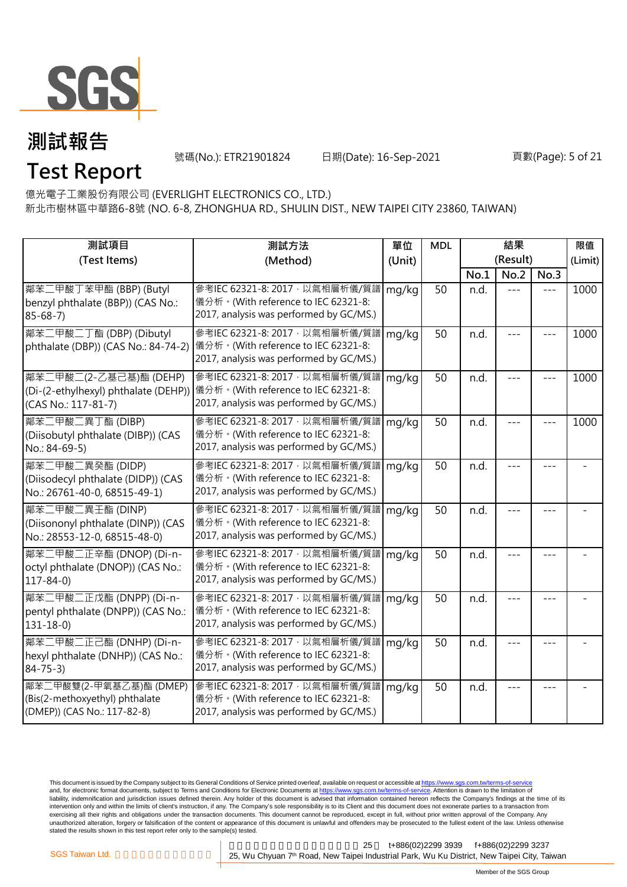

號碼(No.): ETR21901824 日期(Date): 16-Sep-2021 頁數(Page): 5 of 21

## **Test Report**

億光電子工業股份有限公司 (EVERLIGHT ELECTRONICS CO., LTD.)

新北市樹林區中華路6-8號 (NO. 6-8, ZHONGHUA RD., SHULIN DIST., NEW TAIPEI CITY 23860, TAIWAN)

| 測試項目                                                                                     | 測試方法                                                                                                                      | 單位     | <b>MDL</b> | 結果       |         |       | 限值      |
|------------------------------------------------------------------------------------------|---------------------------------------------------------------------------------------------------------------------------|--------|------------|----------|---------|-------|---------|
| (Test Items)                                                                             | (Method)                                                                                                                  | (Unit) |            | (Result) |         |       | (Limit) |
|                                                                                          |                                                                                                                           |        |            | No.1     | No.2    | No.3  |         |
| 鄰苯二甲酸丁苯甲酯 (BBP) (Butyl<br>benzyl phthalate (BBP)) (CAS No.:<br>$85 - 68 - 7$             | 參考IEC 62321-8: 2017, 以氣相層析儀/質譜<br>儀分析。(With reference to IEC 62321-8:<br>2017, analysis was performed by GC/MS.)          | mg/kg  | 50         | n.d.     | $= -$   | $---$ | 1000    |
| 鄰苯二甲酸二丁酯 (DBP) (Dibutyl<br>phthalate (DBP)) (CAS No.: 84-74-2)                           | 參考IEC 62321-8: 2017 · 以氣相層析儀/質譜   mg/kg<br>儀分析。(With reference to IEC 62321-8:<br>2017, analysis was performed by GC/MS.) |        | 50         | n.d.     |         |       | 1000    |
| 鄰苯二甲酸二(2-乙基己基)酯 (DEHP)<br>(Di-(2-ethylhexyl) phthalate (DEHP))<br>(CAS No.: 117-81-7)    | 參考IEC 62321-8: 2017 · 以氣相層析儀/質譜<br> 儀分析。(With reference to IEC 62321-8:<br>2017, analysis was performed by GC/MS.)        | mg/kg  | 50         | n.d.     |         |       | 1000    |
| 鄰苯二甲酸二異丁酯 (DIBP)<br>(Diisobutyl phthalate (DIBP)) (CAS<br>No.: 84-69-5)                  | 參考IEC 62321-8: 2017, 以氣相層析儀/質譜<br>儀分析。(With reference to IEC 62321-8:<br>2017, analysis was performed by GC/MS.)          | mg/kg  | 50         | n.d.     | $- - -$ |       | 1000    |
| 鄰苯二甲酸二異癸酯 (DIDP)<br>(Diisodecyl phthalate (DIDP)) (CAS<br>No.: 26761-40-0, 68515-49-1)   | 參考IEC 62321-8: 2017, 以氣相層析儀/質譜<br>儀分析。(With reference to IEC 62321-8:<br>2017, analysis was performed by GC/MS.)          | mg/kg  | 50         | n.d.     | ---     |       |         |
| 鄰苯二甲酸二異壬酯 (DINP)<br>(Diisononyl phthalate (DINP)) (CAS<br>No.: 28553-12-0, 68515-48-0)   | 參考IEC 62321-8: 2017, 以氣相層析儀/質譜<br>儀分析。(With reference to IEC 62321-8:<br>2017, analysis was performed by GC/MS.)          | mg/kg  | 50         | n.d.     |         |       |         |
| 鄰苯二甲酸二正辛酯 (DNOP) (Di-n-<br>octyl phthalate (DNOP)) (CAS No.:<br>$117 - 84 - 0$           | 參考IEC 62321-8: 2017, 以氣相層析儀/質譜<br>儀分析。(With reference to IEC 62321-8:<br>2017, analysis was performed by GC/MS.)          | mg/kg  | 50         | n.d.     |         |       |         |
| 鄰苯二甲酸二正戊酯 (DNPP) (Di-n-<br>pentyl phthalate (DNPP)) (CAS No.:<br>$131 - 18 - 0$          | 參考IEC 62321-8: 2017, 以氣相層析儀/質譜<br>儀分析。(With reference to IEC 62321-8:<br>2017, analysis was performed by GC/MS.)          | mg/kg  | 50         | n.d.     |         |       |         |
| 鄰苯二甲酸二正己酯 (DNHP) (Di-n-<br>hexyl phthalate (DNHP)) (CAS No.:<br>$84 - 75 - 3$            | 參考IEC 62321-8: 2017, 以氣相層析儀/質譜<br>儀分析。(With reference to IEC 62321-8:<br>2017, analysis was performed by GC/MS.)          | mg/kg  | 50         | n.d.     |         |       |         |
| 鄰苯二甲酸雙(2-甲氧基乙基)酯 (DMEP)<br>(Bis(2-methoxyethyl) phthalate<br>(DMEP)) (CAS No.: 117-82-8) | 參考IEC 62321-8: 2017, 以氣相層析儀/質譜<br>儀分析。(With reference to IEC 62321-8:<br>2017, analysis was performed by GC/MS.)          | mg/kg  | 50         | n.d.     |         |       |         |

This document is issued by the Company subject to its General Conditions of Service printed overleaf, available on request or accessible at <u>https://www.sgs.com.tw/terms-of-service</u><br>and, for electronic format documents, su liability, indemnification and jurisdiction issues defined therein. Any holder of this document is advised that information contained hereon reflects the Company's findings at the time of its intervention only and within the limits of client's instruction, if any. The Company's sole responsibility is to its Client and this document does not exonerate parties to a transaction from exercising all their rights and obligations under the transaction documents. This document cannot be reproduced, except in full, without prior written approval of the Company. Any<br>unauthorized alteration, forgery or falsif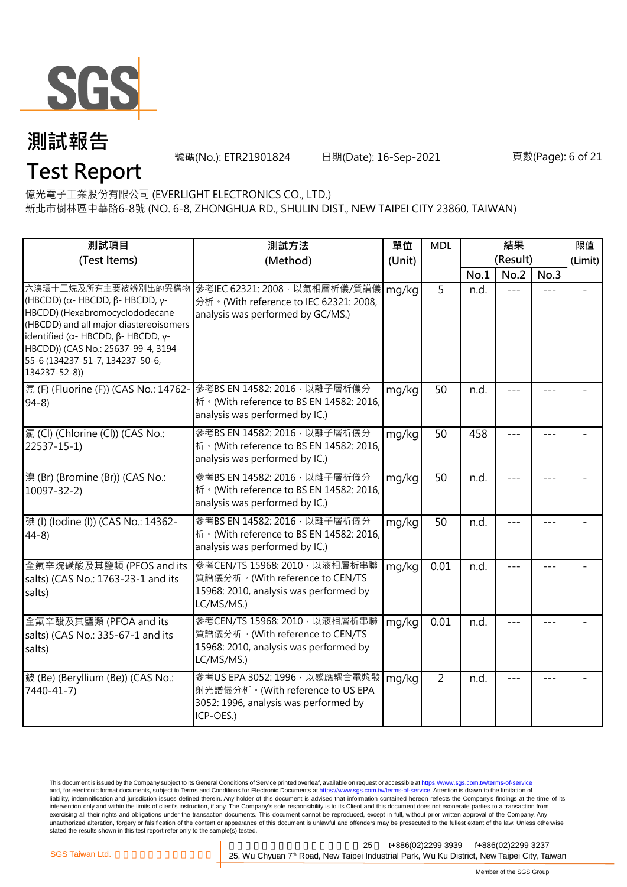

**Test Report**

號碼(No.): ETR21901824 日期(Date): 16-Sep-2021 頁數(Page): 6 of 21

億光電子工業股份有限公司 (EVERLIGHT ELECTRONICS CO., LTD.)

新北市樹林區中華路6-8號 (NO. 6-8, ZHONGHUA RD., SHULIN DIST., NEW TAIPEI CITY 23860, TAIWAN)

| 測試項目                                                                                                                                                                                                                                                                                                        | 測試方法                                                                                                                      | 單位     | <b>MDL</b>     | 結果       |       |         | 限值      |
|-------------------------------------------------------------------------------------------------------------------------------------------------------------------------------------------------------------------------------------------------------------------------------------------------------------|---------------------------------------------------------------------------------------------------------------------------|--------|----------------|----------|-------|---------|---------|
| (Test Items)                                                                                                                                                                                                                                                                                                | (Method)                                                                                                                  | (Unit) |                | (Result) |       |         | (Limit) |
|                                                                                                                                                                                                                                                                                                             |                                                                                                                           |        |                | No.1     | No.2  | No.3    |         |
| 六溴環十二烷及所有主要被辨別出的異構物<br>(HBCDD) ( $\alpha$ - HBCDD, $\beta$ - HBCDD, γ-<br>HBCDD) (Hexabromocyclododecane<br>(HBCDD) and all major diastereoisomers<br>identified ( $\alpha$ - HBCDD, $\beta$ - HBCDD, $\gamma$ -<br>HBCDD)) (CAS No.: 25637-99-4, 3194-<br>55-6 (134237-51-7, 134237-50-6,<br>134237-52-8)) | 參考IEC 62321: 2008, 以氣相層析儀/質譜儀<br>分析 · (With reference to IEC 62321: 2008,<br>analysis was performed by GC/MS.)            | mg/kg  | 5              | n.d.     |       |         |         |
| 氟 (F) (Fluorine (F)) (CAS No.: 14762-<br>$94-8$                                                                                                                                                                                                                                                             | 參考BS EN 14582: 2016 · 以離子層析儀分<br>析 · (With reference to BS EN 14582: 2016,<br>analysis was performed by IC.)              | mg/kg  | 50             | n.d.     |       |         |         |
| 氯(Cl) (Chlorine (Cl)) (CAS No.:<br>22537-15-1)                                                                                                                                                                                                                                                              | 參考BS EN 14582: 2016 · 以離子層析儀分<br>析 · (With reference to BS EN 14582: 2016,<br>analysis was performed by IC.)              | mg/kg  | 50             | 458      |       |         |         |
| 溴 (Br) (Bromine (Br)) (CAS No.:<br>$10097 - 32 - 2$                                                                                                                                                                                                                                                         | 參考BS EN 14582: 2016 · 以離子層析儀分<br>析 · (With reference to BS EN 14582: 2016,<br>analysis was performed by IC.)              | mg/kg  | 50             | n.d.     |       |         |         |
| 碘 (I) (Iodine (I)) (CAS No.: 14362-<br>$44-8$                                                                                                                                                                                                                                                               | 參考BS EN 14582: 2016 · 以離子層析儀分<br>析 · (With reference to BS EN 14582: 2016,<br>analysis was performed by IC.)              | mg/kg  | 50             | n.d.     |       |         |         |
| 全氟辛烷磺酸及其鹽類 (PFOS and its<br>salts) (CAS No.: 1763-23-1 and its<br>salts)                                                                                                                                                                                                                                    | 參考CEN/TS 15968: 2010, 以液相層析串聯<br>質譜儀分析。(With reference to CEN/TS<br>15968: 2010, analysis was performed by<br>LC/MS/MS.)  | mg/kg  | 0.01           | n.d.     |       | $- - -$ |         |
| 全氟辛酸及其鹽類 (PFOA and its<br>salts) (CAS No.: 335-67-1 and its<br>salts)                                                                                                                                                                                                                                       | 參考CEN/TS 15968: 2010 · 以液相層析串聯<br>質譜儀分析。(With reference to CEN/TS<br>15968: 2010, analysis was performed by<br>LC/MS/MS.) | mg/kg  | 0.01           | n.d.     |       |         |         |
| 鈹 (Be) (Beryllium (Be)) (CAS No.:<br>7440-41-7)                                                                                                                                                                                                                                                             | 參考US EPA 3052: 1996, 以感應耦合電漿發<br>射光譜儀分析。(With reference to US EPA<br>3052: 1996, analysis was performed by<br>ICP-OES.)   | mg/kg  | $\overline{2}$ | n.d.     | $= -$ | $- - -$ |         |

This document is issued by the Company subject to its General Conditions of Service printed overleaf, available on request or accessible at <u>https://www.sgs.com.tw/terms-of-service</u><br>and, for electronic format documents, su liability, indemnification and jurisdiction issues defined therein. Any holder of this document is advised that information contained hereon reflects the Company's findings at the time of its intervention only and within the limits of client's instruction, if any. The Company's sole responsibility is to its Client and this document does not exonerate parties to a transaction from exercising all their rights and obligations under the transaction documents. This document cannot be reproduced, except in full, without prior written approval of the Company. Any<br>unauthorized alteration, forgery or falsif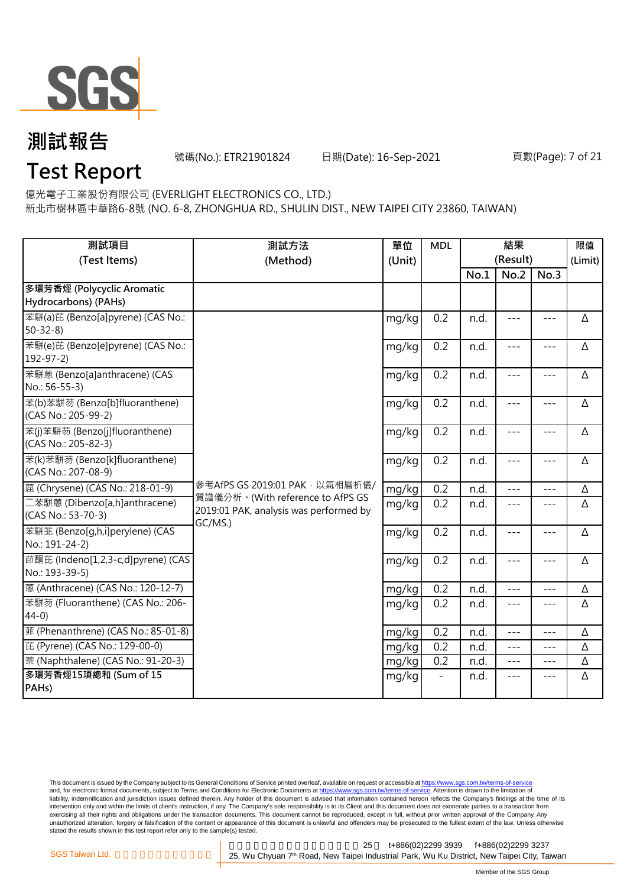

號碼(No.): ETR21901824 日期(Date): 16-Sep-2021 頁數(Page): 7 of 21

**Test Report**

億光電子工業股份有限公司 (EVERLIGHT ELECTRONICS CO., LTD.)

新北市樹林區中華路6-8號 (NO. 6-8, ZHONGHUA RD., SHULIN DIST., NEW TAIPEI CITY 23860, TAIWAN)

| 測試項目<br>(Test Items)                                  | 測試方法<br>(Method)                                                                      | 單位<br>(Unit) | <b>MDL</b> | 結果<br>(Result) |               |               | 限值<br>(Limit) |
|-------------------------------------------------------|---------------------------------------------------------------------------------------|--------------|------------|----------------|---------------|---------------|---------------|
|                                                       |                                                                                       |              |            | No.1           | No.2          | No.3          |               |
| 多環芳香烴 (Polycyclic Aromatic<br>Hydrocarbons) (PAHs)    |                                                                                       |              |            |                |               |               |               |
| 苯駢(a)芘 (Benzo[a]pyrene) (CAS No.:<br>$50-32-8$        |                                                                                       | mg/kg        | 0.2        | n.d.           | $\frac{1}{2}$ | $\frac{1}{2}$ | Δ             |
| 苯駢(e)芘 (Benzo[e]pyrene) (CAS No.:<br>$192 - 97 - 2$   |                                                                                       | mg/kg        | 0.2        | n.d.           | $---$         | $- - -$       | Δ             |
| 苯駢蒽 (Benzo[a]anthracene) (CAS<br>No.: 56-55-3)        |                                                                                       | mg/kg        | 0.2        | n.d.           | $ -$          | $---$         | Δ             |
| 苯(b)苯駢芴 (Benzo[b]fluoranthene)<br>(CAS No.: 205-99-2) |                                                                                       | mg/kg        | 0.2        | n.d.           | $\frac{1}{2}$ | $- - -$       | Δ             |
| 苯(j)苯駢芴 (Benzo[j]fluoranthene)<br>(CAS No.: 205-82-3) |                                                                                       | mg/kg        | 0.2        | n.d.           | $---$         | $---$         | Δ             |
| 苯(k)苯駢芴 (Benzo[k]fluoranthene)<br>(CAS No.: 207-08-9) |                                                                                       | mg/kg        | 0.2        | n.d.           | $---$         | $\frac{1}{2}$ | Δ             |
| 蔰 (Chrysene) (CAS No.: 218-01-9)                      | 參考AfPS GS 2019:01 PAK,以氣相層析儀/                                                         | mg/kg        | 0.2        | n.d.           | ---           | ---           | Δ             |
| 二苯駢蒽 (Dibenzo[a,h]anthracene)<br>(CAS No.: 53-70-3)   | 質譜儀分析。(With reference to AfPS GS<br>2019:01 PAK, analysis was performed by<br>GC/MS.) | mg/kg        | 0.2        | n.d.           | $- - -$       | $\frac{1}{2}$ | Δ             |
| 苯駢苙 (Benzo[q,h,i]perylene) (CAS<br>No.: 191-24-2)     |                                                                                       | mg/kg        | 0.2        | n.d.           | $---$         | ---           | Δ             |
| 茚酮芘 (Indeno[1,2,3-c,d]pyrene) (CAS<br>No.: 193-39-5)  |                                                                                       | mg/kg        | 0.2        | n.d.           | $\frac{1}{2}$ | $- - -$       | Δ             |
| 蒽 (Anthracene) (CAS No.: 120-12-7)                    |                                                                                       | mg/kg        | 0.2        | n.d.           | $- - -$       | ---           | Δ             |
| 苯駢芴 (Fluoranthene) (CAS No.: 206-<br>$44-0$           |                                                                                       | mg/kg        | 0.2        | n.d.           | $\frac{1}{2}$ | $---$         | Δ             |
| 菲 (Phenanthrene) (CAS No.: 85-01-8)                   |                                                                                       | mg/kg        | 0.2        | n.d.           | ---           | $- - -$       | Δ             |
| 芘 (Pyrene) (CAS No.: 129-00-0)                        |                                                                                       | mg/kg        | 0.2        | n.d.           | $\frac{1}{2}$ | $\frac{1}{2}$ | Δ             |
| 萘 (Naphthalene) (CAS No.: 91-20-3)                    |                                                                                       | mg/kg        | 0.2        | n.d.           | $\frac{1}{2}$ | $- - -$       | Δ             |
| 多環芳香烴15項總和 (Sum of 15<br>PAHs)                        |                                                                                       | mg/kg        |            | n.d.           | $---$         | $---$         | Δ             |

This document is issued by the Company subject to its General Conditions of Service printed overleaf, available on request or accessible at <u>https://www.sgs.com.tw/terms-of-service</u><br>and, for electronic format documents, su liability, indemnification and jurisdiction issues defined therein. Any holder of this document is advised that information contained hereon reflects the Company's findings at the time of its intervention only and within the limits of client's instruction, if any. The Company's sole responsibility is to its Client and this document does not exonerate parties to a transaction from exercising all their rights and obligations under the transaction documents. This document cannot be reproduced, except in full, without prior written approval of the Company. Any<br>unauthorized alteration, forgery or falsif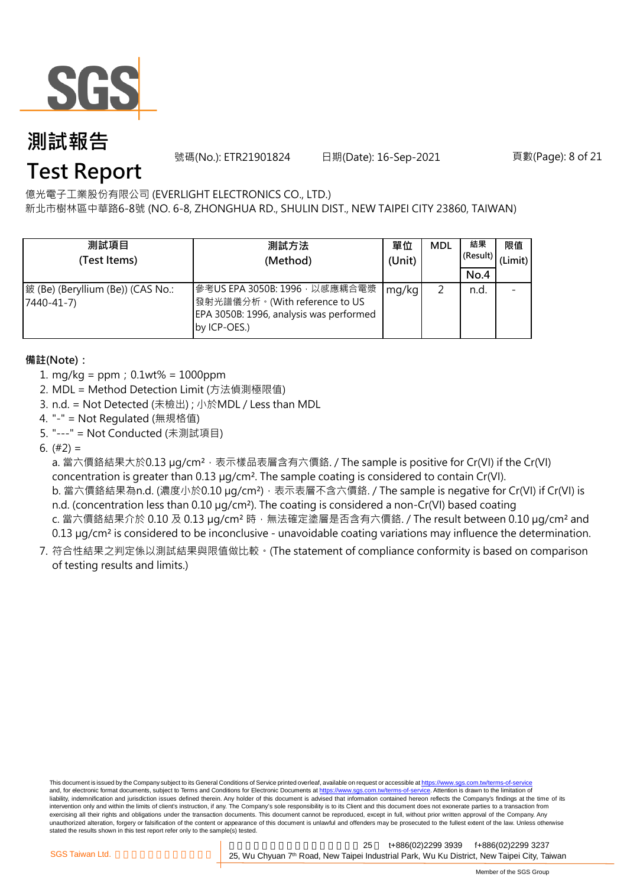

號碼(No.): ETR21901824 日期(Date): 16-Sep-2021 頁數(Page): 8 of 21

## **Test Report**

億光電子工業股份有限公司 (EVERLIGHT ELECTRONICS CO., LTD.)

新北市樹林區中華路6-8號 (NO. 6-8, ZHONGHUA RD., SHULIN DIST., NEW TAIPEI CITY 23860, TAIWAN)

| 測試項目<br>(Test Items)                            | 測試方法<br>(Method)                                                                                                          | 單位<br>(Unit) | <b>MDL</b> | 結果<br>(Result)<br>No.4 | 限值<br>(Limit) |
|-------------------------------------------------|---------------------------------------------------------------------------------------------------------------------------|--------------|------------|------------------------|---------------|
| 鈹 (Be) (Beryllium (Be)) (CAS No.:<br>7440-41-7) | 參考US EPA 3050B: 1996, 以感應耦合電漿<br>發射光譜儀分析。(With reference to US<br>EPA 3050B: 1996, analysis was performed<br>by ICP-OES.) | mg/kg        |            | n.d.                   |               |

#### **備註(Note):**

- 1. mg/kg = ppm;0.1wt% = 1000ppm
- 2. MDL = Method Detection Limit (方法偵測極限值)
- 3. n.d. = Not Detected (未檢出) ; 小於MDL / Less than MDL
- 4. "-" = Not Regulated (無規格值)
- 5. "---" = Not Conducted (未測試項目)

6.  $(#2) =$ 

a. 當六價鉻結果大於0.13 µg/cm<sup>2,</sup> 表示樣品表層含有六價鉻. / The sample is positive for Cr(VI) if the Cr(VI) concentration is greater than 0.13 µg/cm². The sample coating is considered to contain Cr(VI).

b. 當六價鉻結果為n.d. (濃度小於0.10 μg/cm²),表示表層不含六價鉻. / The sample is negative for Cr(VI) if Cr(VI) is n.d. (concentration less than 0.10 µg/cm<sup>2</sup>). The coating is considered a non-Cr(VI) based coating c. 當六價鉻結果介於 0.10 及 0.13 µg/cm<sup>2</sup> 時, 無法確定塗層是否含有六價鉻. / The result between 0.10 µg/cm<sup>2</sup> and

0.13 µg/cm<sup>2</sup> is considered to be inconclusive - unavoidable coating variations may influence the determination.

7. 符合性結果之判定係以測試結果與限值做比較。(The statement of compliance conformity is based on comparison of testing results and limits.)

This document is issued by the Company subject to its General Conditions of Service printed overleaf, available on request or accessible at https://www.sgs.com.tw/terms-of-service and, for electronic format documents, subject to Terms and Conditions for Electronic Documents at https://www.sgs.com.tw/terms-of-service. Attention is drawn to the limitation of liability, indemnification and jurisdiction issues defined therein. Any holder of this document is advised that information contained hereon reflects the Company's findings at the time of its intervention only and within the limits of client's instruction, if any. The Company's sole responsibility is to its Client and this document does not exonerate parties to a transaction from exercising all their rights and obligations under the transaction documents. This document cannot be reproduced, except in full, without prior written approval of the Company. Any<br>unauthorized alteration, forgery or falsif stated the results shown in this test report refer only to the sample(s) tested.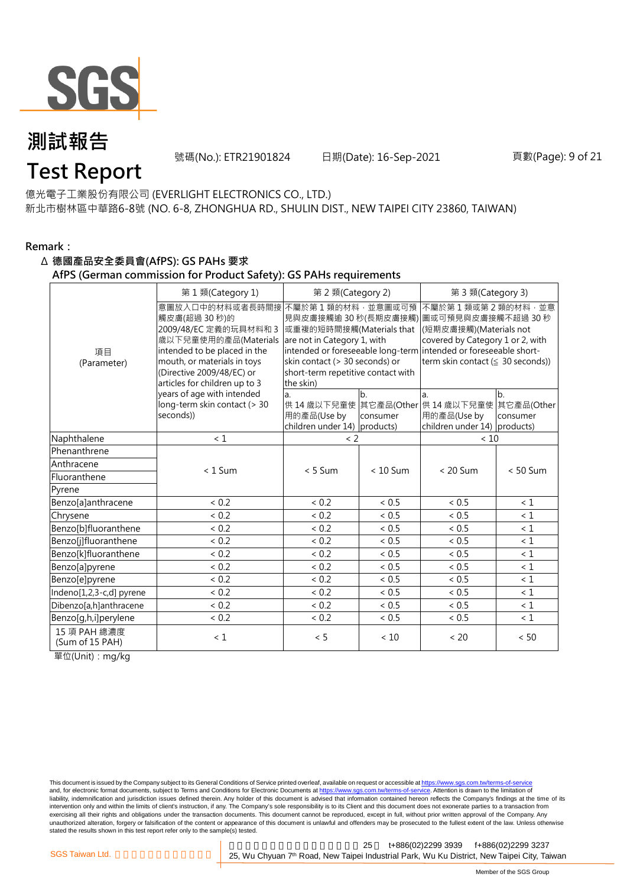

號碼(No.): ETR21901824 日期(Date): 16-Sep-2021 頁數(Page): 9 of 21

## **Test Report**

億光電子工業股份有限公司 (EVERLIGHT ELECTRONICS CO., LTD.) 新北市樹林區中華路6-8號 (NO. 6-8, ZHONGHUA RD., SHULIN DIST., NEW TAIPEI CITY 23860, TAIWAN)

#### **Remark:**

#### Δ **德國產品安全委員會(AfPS): GS PAHs 要求**

**AfPS (German commission for Product Safety): GS PAHs requirements**

|                                 | 第1類(Category 1)                                                                                                                                                                                               | 第 2 類(Category 2)                                                                                                                                                |                            | 第 3 類(Category 3)                                                                                                                                                                                                                  |                              |  |
|---------------------------------|---------------------------------------------------------------------------------------------------------------------------------------------------------------------------------------------------------------|------------------------------------------------------------------------------------------------------------------------------------------------------------------|----------------------------|------------------------------------------------------------------------------------------------------------------------------------------------------------------------------------------------------------------------------------|------------------------------|--|
| 項目<br>(Parameter)               | 意圖放入口中的材料或者長時間接<br>觸皮膚(超過 30秒)的<br>2009/48/EC 定義的玩具材料和 3<br>歲以下兒童使用的產品(Materials<br>intended to be placed in the<br>mouth, or materials in toys<br>(Directive 2009/48/EC) or<br>articles for children up to 3 | 不屬於第1類的材料,並意圖或可預<br>或重複的短時間接觸(Materials that<br>are not in Category 1, with<br>skin contact (> 30 seconds) or<br>short-term repetitive contact with<br>the skin) |                            | 不屬於第1類或第2類的材料,並意<br>見與皮膚接觸逾 30 秒(長期皮膚接觸) 圖或可預見與皮膚接觸不超過 30 秒<br>(短期皮膚接觸)(Materials not<br>covered by Category 1 or 2, with<br>intended or foreseeable long-term intended or foreseeable short-<br>term skin contact (≤ 30 seconds)) |                              |  |
|                                 | years of age with intended<br>long-term skin contact (> 30<br>seconds))                                                                                                                                       | a.<br>用的產品(Use by<br>children under $14$ ) products)                                                                                                             | b <sub>1</sub><br>consumer | la.<br>供 14 歳以下兒童使 其它產品(Other 供 14 歳以下兒童使<br>用的產品(Use by<br>children under $14$ ) products)                                                                                                                                        | b.<br>其它產品(Other<br>consumer |  |
| Naphthalene                     | $\leq 1$                                                                                                                                                                                                      | $\langle$ 2                                                                                                                                                      |                            | < 10                                                                                                                                                                                                                               |                              |  |
| Phenanthrene                    |                                                                                                                                                                                                               |                                                                                                                                                                  |                            |                                                                                                                                                                                                                                    |                              |  |
| Anthracene                      | $< 1$ Sum                                                                                                                                                                                                     | $< 5$ Sum                                                                                                                                                        | $< 10$ Sum                 | $< 20$ Sum                                                                                                                                                                                                                         | $< 50$ Sum                   |  |
| Fluoranthene                    |                                                                                                                                                                                                               |                                                                                                                                                                  |                            |                                                                                                                                                                                                                                    |                              |  |
| Pyrene                          |                                                                                                                                                                                                               |                                                                                                                                                                  |                            |                                                                                                                                                                                                                                    |                              |  |
| Benzo[a]anthracene              | < 0.2                                                                                                                                                                                                         | < 0.2                                                                                                                                                            | < 0.5                      | < 0.5                                                                                                                                                                                                                              | < 1                          |  |
| Chrysene                        | < 0.2                                                                                                                                                                                                         | < 0.2                                                                                                                                                            | $< 0.5$                    | ${}< 0.5$                                                                                                                                                                                                                          | < 1                          |  |
| Benzo[b]fluoranthene            | < 0.2                                                                                                                                                                                                         | < 0.2                                                                                                                                                            | < 0.5                      | ${}< 0.5$                                                                                                                                                                                                                          | $\leq 1$                     |  |
| Benzo[j]fluoranthene            | < 0.2                                                                                                                                                                                                         | < 0.2                                                                                                                                                            | ~< 0.5                     | < 0.5                                                                                                                                                                                                                              | $\leq 1$                     |  |
| Benzo[k]fluoranthene            | < 0.2                                                                                                                                                                                                         | < 0.2                                                                                                                                                            | ${}< 0.5$                  | < 0.5                                                                                                                                                                                                                              | $\leq 1$                     |  |
| Benzo[a]pyrene                  | < 0.2                                                                                                                                                                                                         | < 0.2                                                                                                                                                            | < 0.5                      | ${}< 0.5$                                                                                                                                                                                                                          | $\leq 1$                     |  |
| Benzo[e]pyrene                  | < 0.2                                                                                                                                                                                                         | < 0.2                                                                                                                                                            | < 0.5                      | < 0.5                                                                                                                                                                                                                              | $\leq 1$                     |  |
| Indeno[1,2,3-c,d] pyrene        | < 0.2                                                                                                                                                                                                         | < 0.2                                                                                                                                                            | < 0.5                      | ${}< 0.5$                                                                                                                                                                                                                          | $\leq 1$                     |  |
| Dibenzo[a,h]anthracene          | < 0.2                                                                                                                                                                                                         | < 0.2                                                                                                                                                            | ~< 0.5                     | < 0.5                                                                                                                                                                                                                              | $\leq 1$                     |  |
| Benzo[g,h,i]perylene            | < 0.2                                                                                                                                                                                                         | < 0.2                                                                                                                                                            | < 0.5                      | < 0.5                                                                                                                                                                                                                              | $\leq 1$                     |  |
| 15 項 PAH 總濃度<br>(Sum of 15 PAH) | $\leq 1$                                                                                                                                                                                                      | < 5                                                                                                                                                              | < 10                       | < 20                                                                                                                                                                                                                               | < 50                         |  |

單位(Unit):mg/kg

This document is issued by the Company subject to its General Conditions of Service printed overleaf, available on request or accessible at https://www.sgs.com.tw/terms-of-service and, for electronic format documents, subject to Terms and Conditions for Electronic Documents at https://www.sgs.com.tw/terms-of-service. Attention is drawn to the limitation of liability, indemnification and jurisdiction issues defined therein. Any holder of this document is advised that information contained hereon reflects the Company's findings at the time of its intervention only and within the limits of client's instruction, if any. The Company's sole responsibility is to its Client and this document does not exonerate parties to a transaction from exercising all their rights and obligations under the transaction documents. This document cannot be reproduced, except in full, without prior written approval of the Company. Any<br>unauthorized alteration, forgery or falsif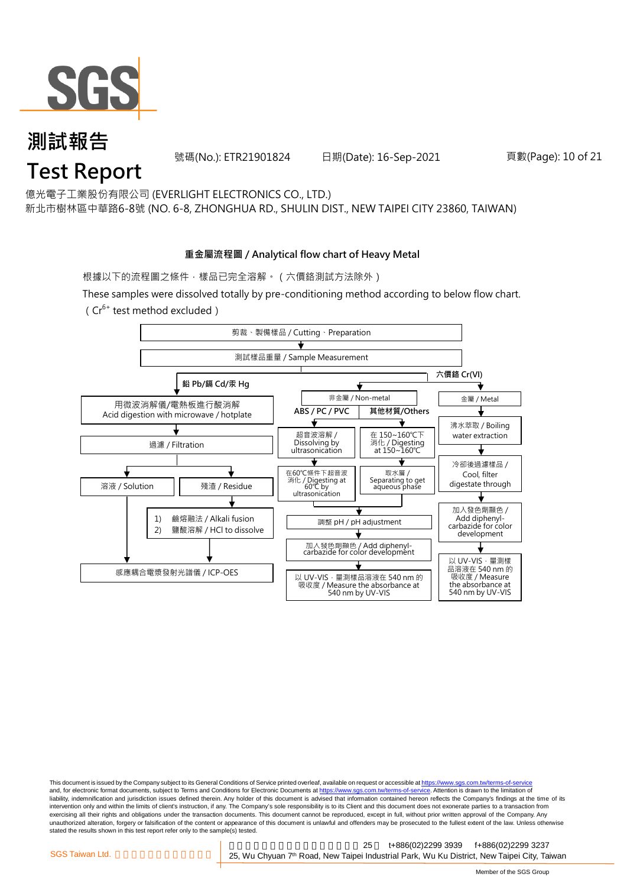

號碼(No.): ETR21901824 日期(Date): 16-Sep-2021 頁數(Page): 10 of 21

億光電子工業股份有限公司 (EVERLIGHT ELECTRONICS CO., LTD.)

新北市樹林區中華路6-8號 (NO. 6-8, ZHONGHUA RD., SHULIN DIST., NEW TAIPEI CITY 23860, TAIWAN)

#### **重金屬流程圖 / Analytical flow chart of Heavy Metal**

根據以下的流程圖之條件,樣品已完全溶解。(六價鉻測試方法除外)

These samples were dissolved totally by pre-conditioning method according to below flow chart.  $(Cr^{6+}$  test method excluded)



This document is issued by the Company subject to its General Conditions of Service printed overleaf, available on request or accessible at https://www.sgs.com.tw/terms-of-service and, for electronic format documents, subject to Terms and Conditions for Electronic Documents at https://www.sgs.com.tw/terms-of-service. Attention is drawn to the limitation of liability, indemnification and jurisdiction issues defined therein. Any holder of this document is advised that information contained hereon reflects the Company's findings at the time of its intervention only and within the limits of client's instruction, if any. The Company's sole responsibility is to its Client and this document does not exonerate parties to a transaction from exercising all their rights and obligations under the transaction documents. This document cannot be reproduced, except in full, without prior written approval of the Company. Any<br>unauthorized alteration, forgery or falsif stated the results shown in this test report refer only to the sample(s) tested.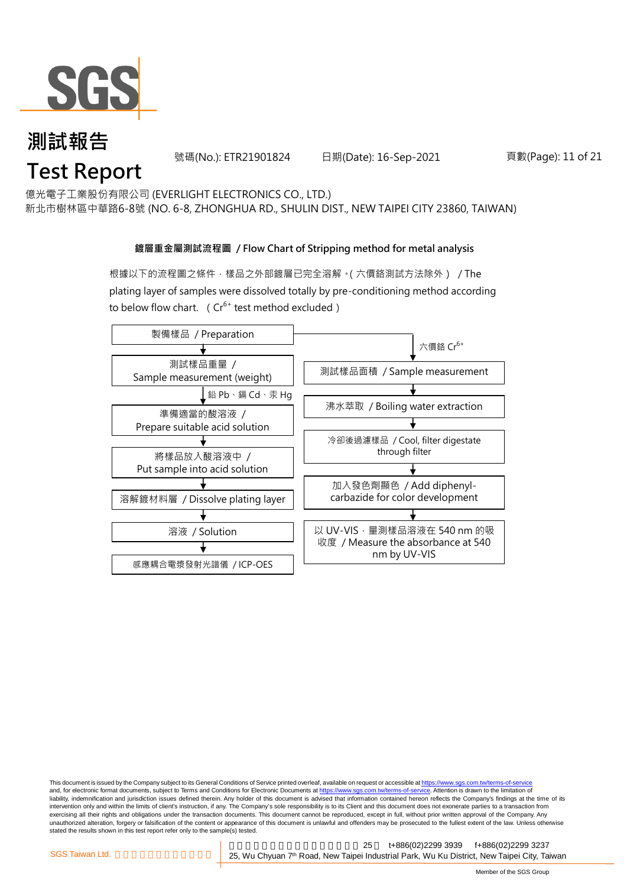

號碼(No.): ETR21901824 日期(Date): 16-Sep-2021 頁數(Page): 11 of 21

億光電子工業股份有限公司 (EVERLIGHT ELECTRONICS CO., LTD.)

新北市樹林區中華路6-8號 (NO. 6-8, ZHONGHUA RD., SHULIN DIST., NEW TAIPEI CITY 23860, TAIWAN)

#### **鍍層重金屬測試流程圖 / Flow Chart of Stripping method for metal analysis**

根據以下的流程圖之條件,樣品之外部鍍層已完全溶解。(六價鉻測試方法除外) / The plating layer of samples were dissolved totally by pre-conditioning method according to below flow chart. ( $Cr^{6+}$  test method excluded)



This document is issued by the Company subject to its General Conditions of Service printed overleaf, available on request or accessible at https://www.sgs.com.tw/terms-of-service and, for electronic format documents, subject to Terms and Conditions for Electronic Documents at https://www.sgs.com.tw/terms-of-service. Attention is drawn to the limitation of liability, indemnification and jurisdiction issues defined therein. Any holder of this document is advised that information contained hereon reflects the Company's findings at the time of its intervention only and within the limits of client's instruction, if any. The Company's sole responsibility is to its Client and this document does not exonerate parties to a transaction from exercising all their rights and obligations under the transaction documents. This document cannot be reproduced, except in full, without prior written approval of the Company. Any<br>unauthorized alteration, forgery or falsif stated the results shown in this test report refer only to the sample(s) tested.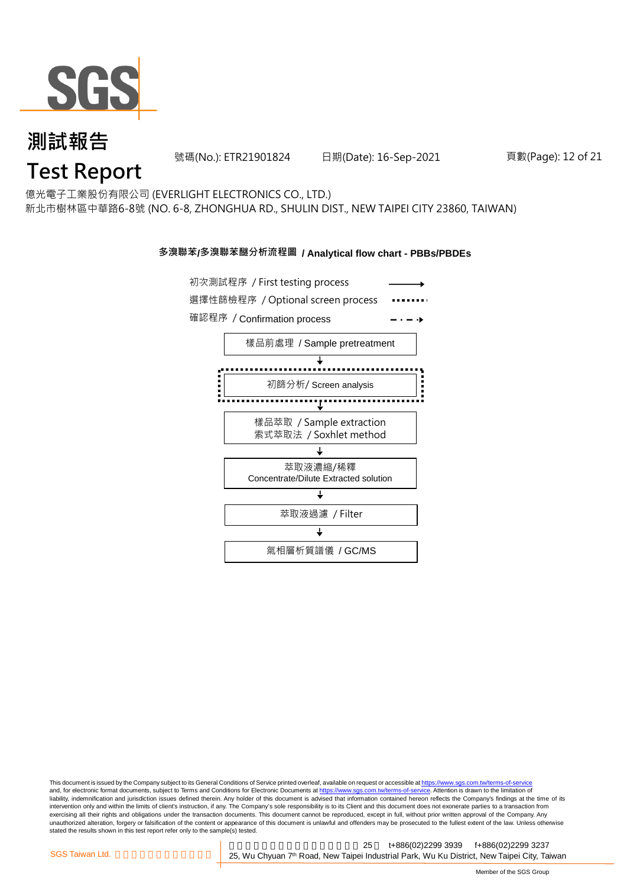

號碼(No.): ETR21901824 日期(Date): 16-Sep-2021 頁數(Page): 12 of 21

## **Test Report**

億光電子工業股份有限公司 (EVERLIGHT ELECTRONICS CO., LTD.) 新北市樹林區中華路6-8號 (NO. 6-8, ZHONGHUA RD., SHULIN DIST., NEW TAIPEI CITY 23860, TAIWAN)

#### **多溴聯苯/多溴聯苯醚分析流程圖 / Analytical flow chart - PBBs/PBDEs**



This document is issued by the Company subject to its General Conditions of Service printed overleaf, available on request or accessible at https://www.sgs.com.tw/terms-of-service and, for electronic format documents, subject to Terms and Conditions for Electronic Documents at https://www.sgs.com.tw/terms-of-service. Attention is drawn to the limitation of liability, indemnification and jurisdiction issues defined therein. Any holder of this document is advised that information contained hereon reflects the Company's findings at the time of its intervention only and within the limits of client's instruction, if any. The Company's sole responsibility is to its Client and this document does not exonerate parties to a transaction from exercising all their rights and obligations under the transaction documents. This document cannot be reproduced, except in full, without prior written approval of the Company. Any<br>unauthorized alteration, forgery or falsif stated the results shown in this test report refer only to the sample(s) tested.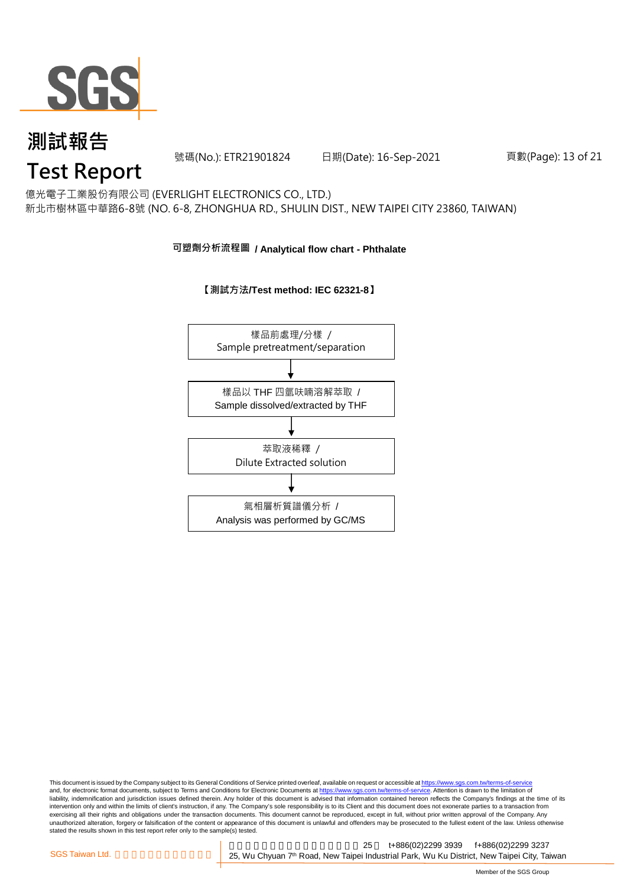

號碼(No.): ETR21901824 日期(Date): 16-Sep-2021 頁數(Page): 13 of 21

## **Test Report**

億光電子工業股份有限公司 (EVERLIGHT ELECTRONICS CO., LTD.) 新北市樹林區中華路6-8號 (NO. 6-8, ZHONGHUA RD., SHULIN DIST., NEW TAIPEI CITY 23860, TAIWAN)

#### **可塑劑分析流程圖 / Analytical flow chart - Phthalate**

#### **【測試方法/Test method: IEC 62321-8】**



This document is issued by the Company subject to its General Conditions of Service printed overleaf, available on request or accessible at <u>https://www.sgs.com.tw/terms-of-service</u><br>and, for electronic format documents, su liability, indemnification and jurisdiction issues defined therein. Any holder of this document is advised that information contained hereon reflects the Company's findings at the time of its intervention only and within the limits of client's instruction, if any. The Company's sole responsibility is to its Client and this document does not exonerate parties to a transaction from exercising all their rights and obligations under the transaction documents. This document cannot be reproduced, except in full, without prior written approval of the Company. Any<br>unauthorized alteration, forgery or falsif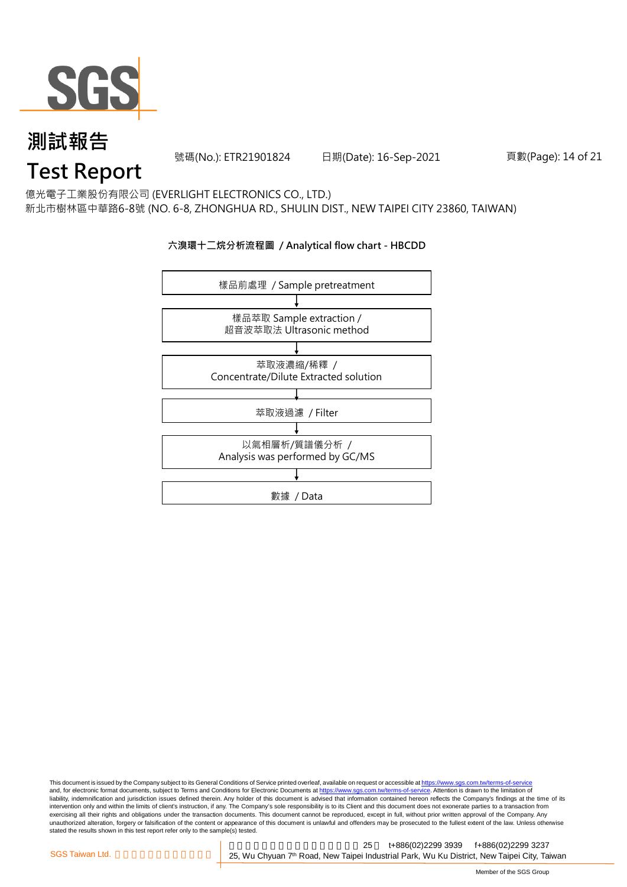

號碼(No.): ETR21901824 日期(Date): 16-Sep-2021 頁數(Page): 14 of 21

## **Test Report**

億光電子工業股份有限公司 (EVERLIGHT ELECTRONICS CO., LTD.) 新北市樹林區中華路6-8號 (NO. 6-8, ZHONGHUA RD., SHULIN DIST., NEW TAIPEI CITY 23860, TAIWAN)

#### **六溴環十二烷分析流程圖 / Analytical flow chart - HBCDD**



This document is issued by the Company subject to its General Conditions of Service printed overleaf, available on request or accessible at <u>https://www.sgs.com.tw/terms-of-service</u><br>and, for electronic format documents, su liability, indemnification and jurisdiction issues defined therein. Any holder of this document is advised that information contained hereon reflects the Company's findings at the time of its intervention only and within the limits of client's instruction, if any. The Company's sole responsibility is to its Client and this document does not exonerate parties to a transaction from exercising all their rights and obligations under the transaction documents. This document cannot be reproduced, except in full, without prior written approval of the Company. Any<br>unauthorized alteration, forgery or falsif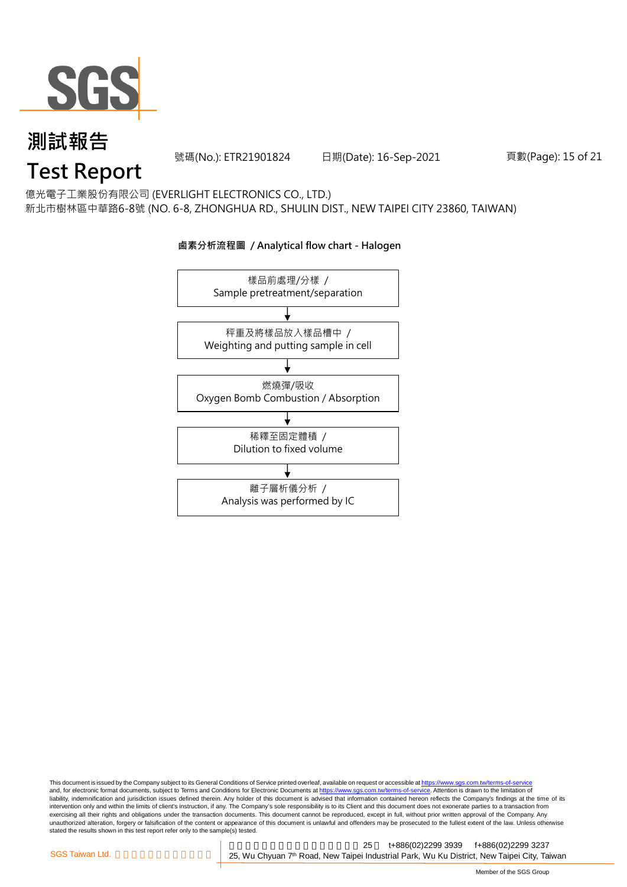

號碼(No.): ETR21901824 日期(Date): 16-Sep-2021 頁數(Page): 15 of 21

## **Test Report**

億光電子工業股份有限公司 (EVERLIGHT ELECTRONICS CO., LTD.) 新北市樹林區中華路6-8號 (NO. 6-8, ZHONGHUA RD., SHULIN DIST., NEW TAIPEI CITY 23860, TAIWAN)

### 樣品前處理/分樣 / Sample pretreatment/separation 秤重及將樣品放入樣品槽中 / Weighting and putting sample in cell 燃燒彈/吸收 Oxygen Bomb Combustion / Absorption 離子層析儀分析 / Analysis was performed by IC 稀釋至固定體積 / Dilution to fixed volume

**鹵素分析流程圖 / Analytical flow chart - Halogen**

This document is issued by the Company subject to its General Conditions of Service printed overleaf, available on request or accessible at <u>https://www.sgs.com.tw/terms-of-service</u><br>and, for electronic format documents, su liability, indemnification and jurisdiction issues defined therein. Any holder of this document is advised that information contained hereon reflects the Company's findings at the time of its intervention only and within the limits of client's instruction, if any. The Company's sole responsibility is to its Client and this document does not exonerate parties to a transaction from exercising all their rights and obligations under the transaction documents. This document cannot be reproduced, except in full, without prior written approval of the Company. Any<br>unauthorized alteration, forgery or falsif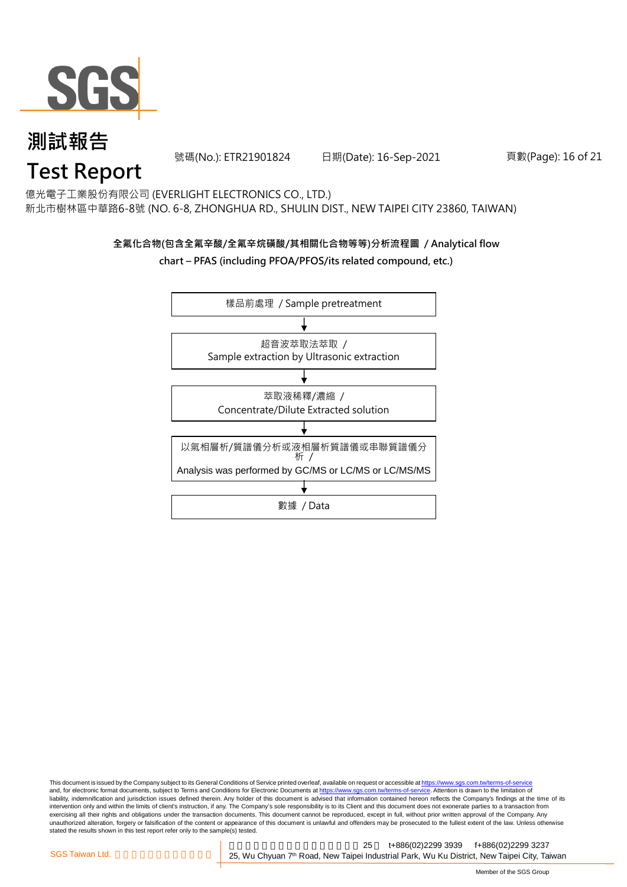

號碼(No.): ETR21901824 日期(Date): 16-Sep-2021 頁數(Page): 16 of 21

## **Test Report**

億光電子工業股份有限公司 (EVERLIGHT ELECTRONICS CO., LTD.) 新北市樹林區中華路6-8號 (NO. 6-8, ZHONGHUA RD., SHULIN DIST., NEW TAIPEI CITY 23860, TAIWAN)

#### **全氟化合物(包含全氟辛酸/全氟辛烷磺酸/其相關化合物等等)分析流程圖 / Analytical flow chart – PFAS (including PFOA/PFOS/its related compound, etc.)**



This document is issued by the Company subject to its General Conditions of Service printed overleaf, available on request or accessible at https://www.sgs.com.tw/terms-of-service and, for electronic format documents, subject to Terms and Conditions for Electronic Documents at https://www.sgs.com.tw/terms-of-service. Attention is drawn to the limitation of liability, indemnification and jurisdiction issues defined therein. Any holder of this document is advised that information contained hereon reflects the Company's findings at the time of its intervention only and within the limits of client's instruction, if any. The Company's sole responsibility is to its Client and this document does not exonerate parties to a transaction from exercising all their rights and obligations under the transaction documents. This document cannot be reproduced, except in full, without prior written approval of the Company. Any<br>unauthorized alteration, forgery or falsif stated the results shown in this test report refer only to the sample(s) tested.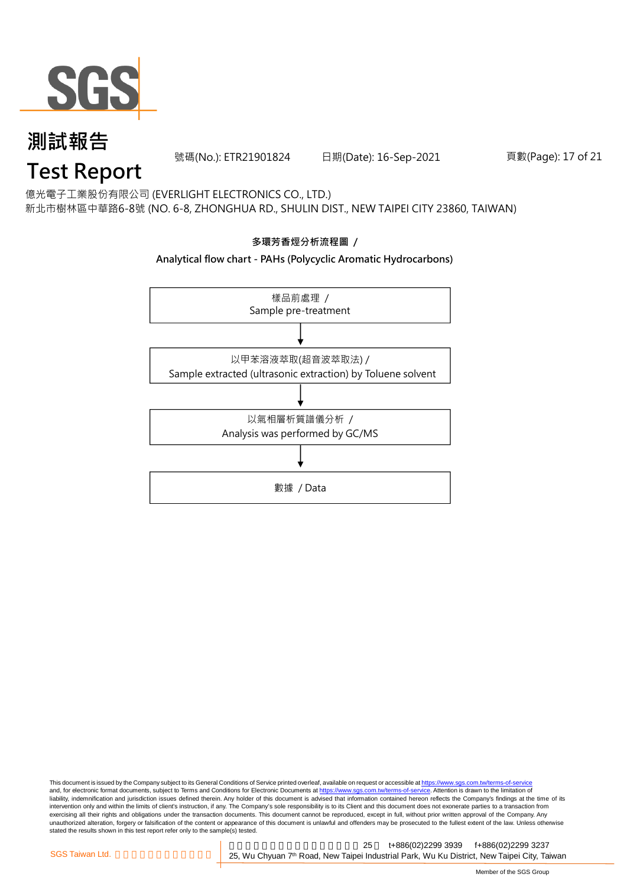

號碼(No.): ETR21901824 日期(Date): 16-Sep-2021 頁數(Page): 17 of 21

## **Test Report**

億光電子工業股份有限公司 (EVERLIGHT ELECTRONICS CO., LTD.) 新北市樹林區中華路6-8號 (NO. 6-8, ZHONGHUA RD., SHULIN DIST., NEW TAIPEI CITY 23860, TAIWAN)



This document is issued by the Company subject to its General Conditions of Service printed overleaf, available on request or accessible at <u>https://www.sgs.com.tw/terms-of-service</u><br>and, for electronic format documents, su liability, indemnification and jurisdiction issues defined therein. Any holder of this document is advised that information contained hereon reflects the Company's findings at the time of its intervention only and within the limits of client's instruction, if any. The Company's sole responsibility is to its Client and this document does not exonerate parties to a transaction from exercising all their rights and obligations under the transaction documents. This document cannot be reproduced, except in full, without prior written approval of the Company. Any<br>unauthorized alteration, forgery or falsif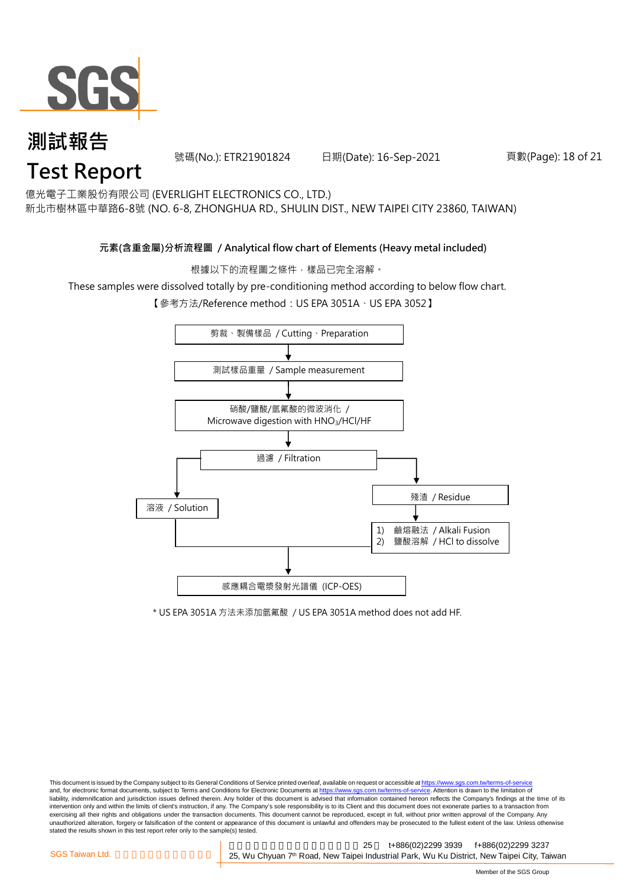

號碼(No.): ETR21901824 日期(Date): 16-Sep-2021 頁數(Page): 18 of 21

億光電子工業股份有限公司 (EVERLIGHT ELECTRONICS CO., LTD.)

新北市樹林區中華路6-8號 (NO. 6-8, ZHONGHUA RD., SHULIN DIST., NEW TAIPEI CITY 23860, TAIWAN)

#### **元素(含重金屬)分析流程圖 / Analytical flow chart of Elements (Heavy metal included)**

根據以下的流程圖之條件,樣品已完全溶解。

These samples were dissolved totally by pre-conditioning method according to below flow chart.

【參考方法/Reference method:US EPA 3051A、US EPA 3052】



\* US EPA 3051A 方法未添加氫氟酸 / US EPA 3051A method does not add HF.

This document is issued by the Company subject to its General Conditions of Service printed overleaf, available on request or accessible at https://www.sgs.com.tw/terms-of-service and, for electronic format documents, subject to Terms and Conditions for Electronic Documents at https://www.sgs.com.tw/terms-of-service. Attention is drawn to the limitation of liability, indemnification and jurisdiction issues defined therein. Any holder of this document is advised that information contained hereon reflects the Company's findings at the time of its intervention only and within the limits of client's instruction, if any. The Company's sole responsibility is to its Client and this document does not exonerate parties to a transaction from exercising all their rights and obligations under the transaction documents. This document cannot be reproduced, except in full, without prior written approval of the Company. Any<br>unauthorized alteration, forgery or falsif stated the results shown in this test report refer only to the sample(s) tested.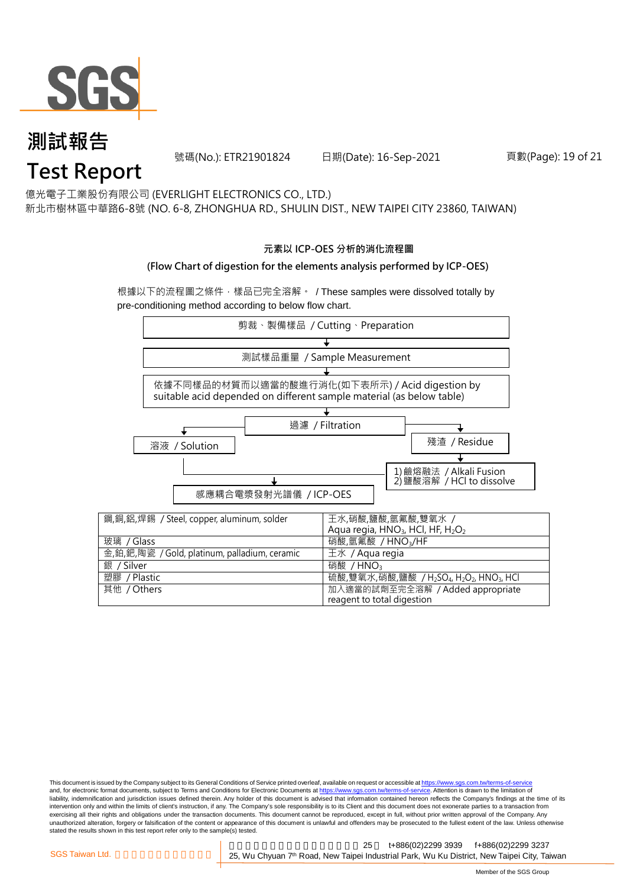

號碼(No.): ETR21901824 日期(Date): 16-Sep-2021 頁數(Page): 19 of 21

億光電子工業股份有限公司 (EVERLIGHT ELECTRONICS CO., LTD.)

新北市樹林區中華路6-8號 (NO. 6-8, ZHONGHUA RD., SHULIN DIST., NEW TAIPEI CITY 23860, TAIWAN)

#### **元素以 ICP-OES 分析的消化流程圖**

#### **(Flow Chart of digestion for the elements analysis performed by ICP-OES)**

根據以下的流程圖之條件,樣品已完全溶解。 / These samples were dissolved totally by pre-conditioning method according to below flow chart.



This document is issued by the Company subject to its General Conditions of Service printed overleaf, available on request or accessible at https://www.sgs.com.tw/terms-of-service and, for electronic format documents, subject to Terms and Conditions for Electronic Documents at https://www.sgs.com.tw/terms-of-service. Attention is drawn to the limitation of liability, indemnification and jurisdiction issues defined therein. Any holder of this document is advised that information contained hereon reflects the Company's findings at the time of its intervention only and within the limits of client's instruction, if any. The Company's sole responsibility is to its Client and this document does not exonerate parties to a transaction from exercising all their rights and obligations under the transaction documents. This document cannot be reproduced, except in full, without prior written approval of the Company. Any<br>unauthorized alteration, forgery or falsif stated the results shown in this test report refer only to the sample(s) tested.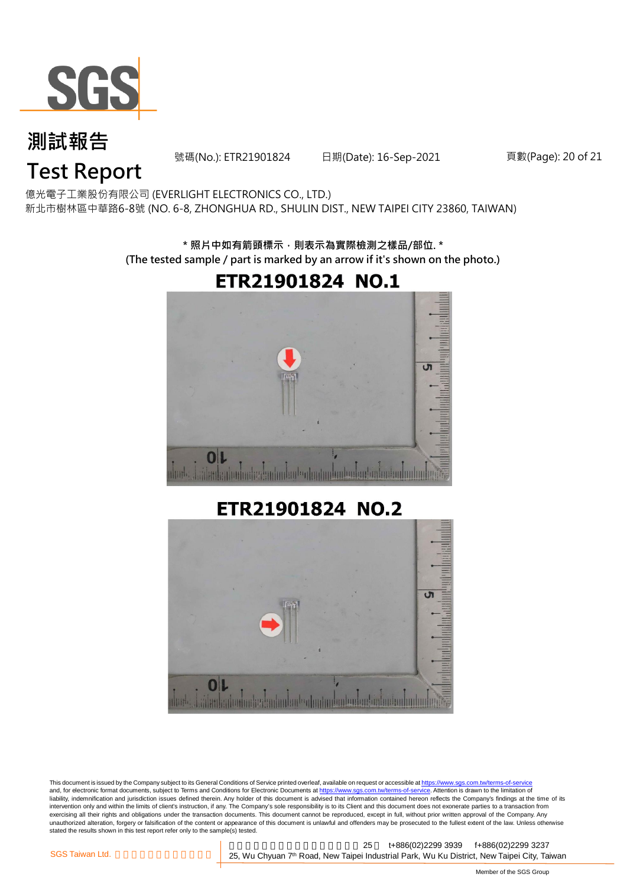

號碼(No.): ETR21901824 日期(Date): 16-Sep-2021 頁數(Page): 20 of 21

## **Test Report**

億光電子工業股份有限公司 (EVERLIGHT ELECTRONICS CO., LTD.) 新北市樹林區中華路6-8號 (NO. 6-8, ZHONGHUA RD., SHULIN DIST., NEW TAIPEI CITY 23860, TAIWAN)

> **\* 照片中如有箭頭標示,則表示為實際檢測之樣品/部位. \* (The tested sample / part is marked by an arrow if it's shown on the photo.)**



#### ETR21901824 NO.2



This document is issued by the Company subject to its General Conditions of Service printed overleaf, available on request or accessible at https://www.sgs.com.tw/terms-of-service and, for electronic format documents, subject to Terms and Conditions for Electronic Documents at https://www.sgs.com.tw/terms-of-service. Attention is drawn to the limitation of liability, indemnification and jurisdiction issues defined therein. Any holder of this document is advised that information contained hereon reflects the Company's findings at the time of its intervention only and within the limits of client's instruction, if any. The Company's sole responsibility is to its Client and this document does not exonerate parties to a transaction from exercising all their rights and obligations under the transaction documents. This document cannot be reproduced, except in full, without prior written approval of the Company. Any<br>unauthorized alteration, forgery or falsif stated the results shown in this test report refer only to the sample(s) tested.